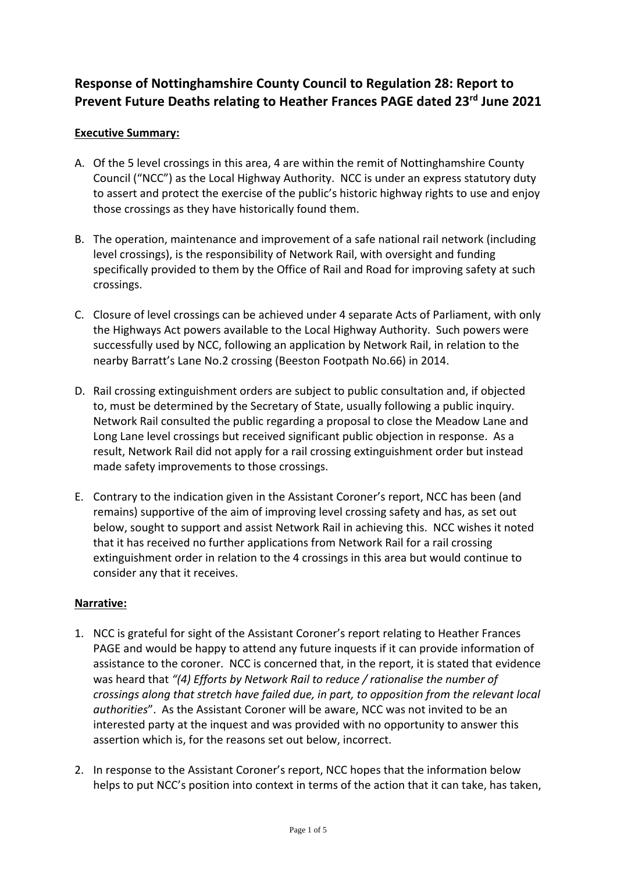## **Response of Nottinghamshire County Council to Regulation 28: Report to Prevent Future Deaths relating to Heather Frances PAGE dated 23rd June 2021**

## **Executive Summary:**

- A. Of the 5 level crossings in this area, 4 are within the remit of Nottinghamshire County Council ("NCC") as the Local Highway Authority. NCC is under an express statutory duty to assert and protect the exercise of the public's historic highway rights to use and enjoy those crossings as they have historically found them.
- B. The operation, maintenance and improvement of a safe national rail network (including level crossings), is the responsibility of Network Rail, with oversight and funding specifically provided to them by the Office of Rail and Road for improving safety at such crossings.
- C. Closure of level crossings can be achieved under 4 separate Acts of Parliament, with only the Highways Act powers available to the Local Highway Authority. Such powers were successfully used by NCC, following an application by Network Rail, in relation to the nearby Barratt's Lane No.2 crossing (Beeston Footpath No.66) in 2014.
- D. Rail crossing extinguishment orders are subject to public consultation and, if objected to, must be determined by the Secretary of State, usually following a public inquiry. Network Rail consulted the public regarding a proposal to close the Meadow Lane and Long Lane level crossings but received significant public objection in response. As a result, Network Rail did not apply for a rail crossing extinguishment order but instead made safety improvements to those crossings.
- E. Contrary to the indication given in the Assistant Coroner's report, NCC has been (and remains) supportive of the aim of improving level crossing safety and has, as set out below, sought to support and assist Network Rail in achieving this. NCC wishes it noted that it has received no further applications from Network Rail for a rail crossing extinguishment order in relation to the 4 crossings in this area but would continue to consider any that it receives.

## **Narrative:**

- 1. NCC is grateful for sight of the Assistant Coroner's report relating to Heather Frances PAGE and would be happy to attend any future inquests if it can provide information of assistance to the coroner. NCC is concerned that, in the report, it is stated that evidence was heard that *"(4) Efforts by Network Rail to reduce / rationalise the number of crossings along that stretch have failed due, in part, to opposition from the relevant local authorities*". As the Assistant Coroner will be aware, NCC was not invited to be an interested party at the inquest and was provided with no opportunity to answer this assertion which is, for the reasons set out below, incorrect.
- 2. In response to the Assistant Coroner's report, NCC hopes that the information below helps to put NCC's position into context in terms of the action that it can take, has taken,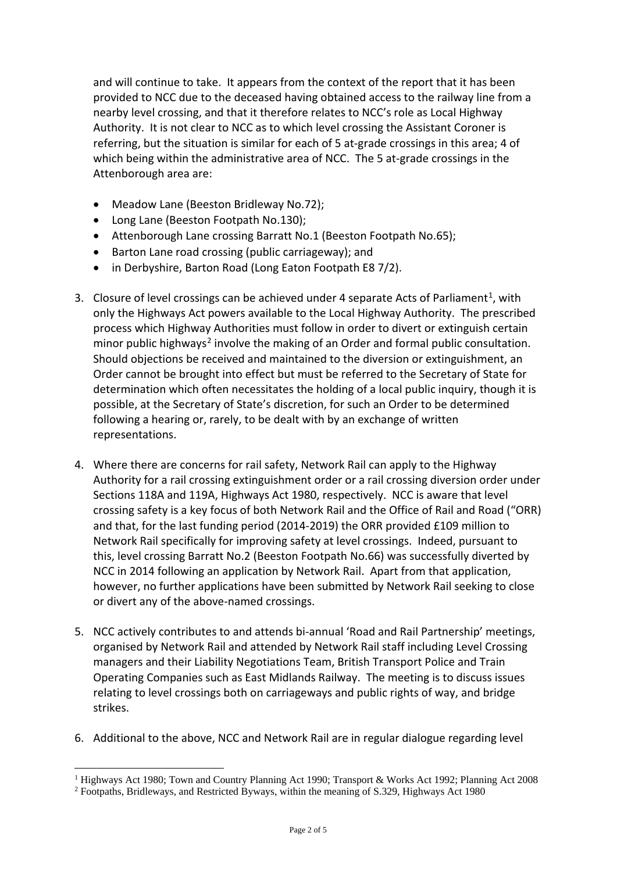and will continue to take. It appears from the context of the report that it has been provided to NCC due to the deceased having obtained access to the railway line from a nearby level crossing, and that it therefore relates to NCC's role as Local Highway Authority. It is not clear to NCC as to which level crossing the Assistant Coroner is referring, but the situation is similar for each of 5 at-grade crossings in this area; 4 of which being within the administrative area of NCC. The 5 at-grade crossings in the Attenborough area are:

- Meadow Lane (Beeston Bridleway No.72);
- Long Lane (Beeston Footpath No.130);
- Attenborough Lane crossing Barratt No.1 (Beeston Footpath No.65);
- Barton Lane road crossing (public carriageway); and
- in Derbyshire, Barton Road (Long Eaton Footpath E8 7/2).
- 3. Closure of level crossings can be achieved under 4 separate Acts of Parliament<sup>[1](#page-1-0)</sup>, with only the Highways Act powers available to the Local Highway Authority. The prescribed process which Highway Authorities must follow in order to divert or extinguish certain minor public highways<sup>[2](#page-1-1)</sup> involve the making of an Order and formal public consultation. Should objections be received and maintained to the diversion or extinguishment, an Order cannot be brought into effect but must be referred to the Secretary of State for determination which often necessitates the holding of a local public inquiry, though it is possible, at the Secretary of State's discretion, for such an Order to be determined following a hearing or, rarely, to be dealt with by an exchange of written representations.
- 4. Where there are concerns for rail safety, Network Rail can apply to the Highway Authority for a rail crossing extinguishment order or a rail crossing diversion order under Sections 118A and 119A, Highways Act 1980, respectively. NCC is aware that level crossing safety is a key focus of both Network Rail and the Office of Rail and Road ("ORR) and that, for the last funding period (2014-2019) the ORR provided £109 million to Network Rail specifically for improving safety at level crossings. Indeed, pursuant to this, level crossing Barratt No.2 (Beeston Footpath No.66) was successfully diverted by NCC in 2014 following an application by Network Rail. Apart from that application, however, no further applications have been submitted by Network Rail seeking to close or divert any of the above-named crossings.
- 5. NCC actively contributes to and attends bi-annual 'Road and Rail Partnership' meetings, organised by Network Rail and attended by Network Rail staff including Level Crossing managers and their Liability Negotiations Team, British Transport Police and Train Operating Companies such as East Midlands Railway. The meeting is to discuss issues relating to level crossings both on carriageways and public rights of way, and bridge strikes.
- 6. Additional to the above, NCC and Network Rail are in regular dialogue regarding level

<span id="page-1-0"></span><sup>&</sup>lt;sup>1</sup> Highways Act 1980; Town and Country Planning Act 1990; Transport & Works Act 1992; Planning Act 2008

<span id="page-1-1"></span><sup>2</sup> Footpaths, Bridleways, and Restricted Byways, within the meaning of S.329, Highways Act 1980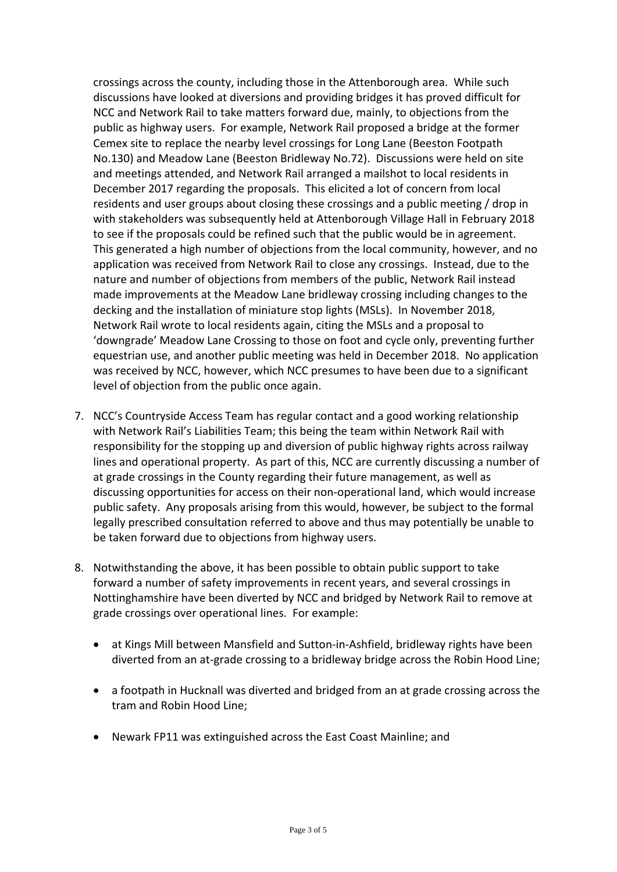crossings across the county, including those in the Attenborough area. While such discussions have looked at diversions and providing bridges it has proved difficult for NCC and Network Rail to take matters forward due, mainly, to objections from the public as highway users. For example, Network Rail proposed a bridge at the former Cemex site to replace the nearby level crossings for Long Lane (Beeston Footpath No.130) and Meadow Lane (Beeston Bridleway No.72). Discussions were held on site and meetings attended, and Network Rail arranged a mailshot to local residents in December 2017 regarding the proposals. This elicited a lot of concern from local residents and user groups about closing these crossings and a public meeting / drop in with stakeholders was subsequently held at Attenborough Village Hall in February 2018 to see if the proposals could be refined such that the public would be in agreement. This generated a high number of objections from the local community, however, and no application was received from Network Rail to close any crossings. Instead, due to the nature and number of objections from members of the public, Network Rail instead made improvements at the Meadow Lane bridleway crossing including changes to the decking and the installation of miniature stop lights (MSLs). In November 2018, Network Rail wrote to local residents again, citing the MSLs and a proposal to 'downgrade' Meadow Lane Crossing to those on foot and cycle only, preventing further equestrian use, and another public meeting was held in December 2018. No application was received by NCC, however, which NCC presumes to have been due to a significant level of objection from the public once again.

- 7. NCC's Countryside Access Team has regular contact and a good working relationship with Network Rail's Liabilities Team; this being the team within Network Rail with responsibility for the stopping up and diversion of public highway rights across railway lines and operational property. As part of this, NCC are currently discussing a number of at grade crossings in the County regarding their future management, as well as discussing opportunities for access on their non-operational land, which would increase public safety. Any proposals arising from this would, however, be subject to the formal legally prescribed consultation referred to above and thus may potentially be unable to be taken forward due to objections from highway users.
- 8. Notwithstanding the above, it has been possible to obtain public support to take forward a number of safety improvements in recent years, and several crossings in Nottinghamshire have been diverted by NCC and bridged by Network Rail to remove at grade crossings over operational lines. For example:
	- at Kings Mill between Mansfield and Sutton-in-Ashfield, bridleway rights have been diverted from an at-grade crossing to a bridleway bridge across the Robin Hood Line;
	- a footpath in Hucknall was diverted and bridged from an at grade crossing across the tram and Robin Hood Line;
	- Newark FP11 was extinguished across the East Coast Mainline; and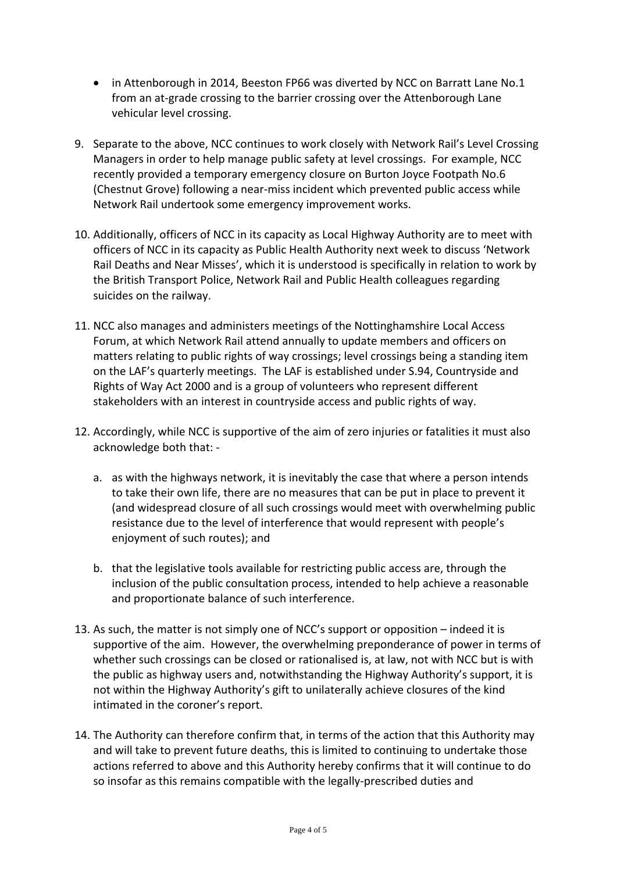- in Attenborough in 2014, Beeston FP66 was diverted by NCC on Barratt Lane No.1 from an at-grade crossing to the barrier crossing over the Attenborough Lane vehicular level crossing.
- 9. Separate to the above, NCC continues to work closely with Network Rail's Level Crossing Managers in order to help manage public safety at level crossings. For example, NCC recently provided a temporary emergency closure on Burton Joyce Footpath No.6 (Chestnut Grove) following a near-miss incident which prevented public access while Network Rail undertook some emergency improvement works.
- 10. Additionally, officers of NCC in its capacity as Local Highway Authority are to meet with officers of NCC in its capacity as Public Health Authority next week to discuss 'Network Rail Deaths and Near Misses', which it is understood is specifically in relation to work by the British Transport Police, Network Rail and Public Health colleagues regarding suicides on the railway.
- 11. NCC also manages and administers meetings of the Nottinghamshire Local Access Forum, at which Network Rail attend annually to update members and officers on matters relating to public rights of way crossings; level crossings being a standing item on the LAF's quarterly meetings. The LAF is established under S.94, Countryside and Rights of Way Act 2000 and is a group of volunteers who represent different stakeholders with an interest in countryside access and public rights of way.
- 12. Accordingly, while NCC is supportive of the aim of zero injuries or fatalities it must also acknowledge both that:
	- a. as with the highways network, it is inevitably the case that where a person intends to take their own life, there are no measures that can be put in place to prevent it (and widespread closure of all such crossings would meet with overwhelming public resistance due to the level of interference that would represent with people's enjoyment of such routes); and
	- b. that the legislative tools available for restricting public access are, through the inclusion of the public consultation process, intended to help achieve a reasonable and proportionate balance of such interference.
- 13. As such, the matter is not simply one of NCC's support or opposition indeed it is supportive of the aim. However, the overwhelming preponderance of power in terms of whether such crossings can be closed or rationalised is, at law, not with NCC but is with the public as highway users and, notwithstanding the Highway Authority's support, it is not within the Highway Authority's gift to unilaterally achieve closures of the kind intimated in the coroner's report.
- 14. The Authority can therefore confirm that, in terms of the action that this Authority may and will take to prevent future deaths, this is limited to continuing to undertake those actions referred to above and this Authority hereby confirms that it will continue to do so insofar as this remains compatible with the legally-prescribed duties and